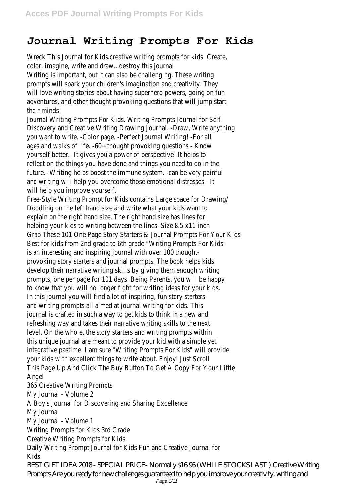## **Journal Writing Prompts For Kids**

Wreck This Journal for Kids.creative writing prompts for kids; Create, color, imagine, write and draw...destroy this journal Writing is important, but it can also be challenging. These writing prompts will spark your children's imagination and creativity. They will love writing stories about having superhero powers, going on fun adventures, and other thought provoking questions that will jump start their minds! Journal Writing Prompts For Kids. Writing Prompts Journal for Self-

Discovery and Creative Writing Drawing Journal. -Draw, Write anything you want to write. -Color page. -Perfect Journal Writing! -For all ages and walks of life. -60+ thought provoking questions - Know yourself better. -It gives you a power of perspective -It helps to reflect on the things you have done and things you need to do in the future. -Writing helps boost the immune system. -can be very painful and writing will help you overcome those emotional distresses. -It will help you improve yourself.

Free-Style Writing Prompt for Kids contains Large space for Drawing/ Doodling on the left hand size and write what your kids want to explain on the right hand size. The right hand size has lines for helping your kids to writing between the lines. Size 8.5 x11 inch Grab These 101 One Page Story Starters & Journal Prompts For Your Kids Best for kids from 2nd grade to 6th grade "Writing Prompts For Kids" is an interesting and inspiring journal with over 100 thoughtprovoking story starters and journal prompts. The book helps kids develop their narrative writing skills by giving them enough writing prompts, one per page for 101 days. Being Parents, you will be happy to know that you will no longer fight for writing ideas for your kids. In this journal you will find a lot of inspiring, fun story starters and writing prompts all aimed at journal writing for kids. This journal is crafted in such a way to get kids to think in a new and refreshing way and takes their narrative writing skills to the next level. On the whole, the story starters and writing prompts within this unique journal are meant to provide your kid with a simple yet integrative pastime. I am sure "Writing Prompts For Kids" will provide your kids with excellent things to write about. Enjoy! Just Scroll This Page Up And Click The Buy Button To Get A Copy For Your Little Angel

365 Creative Writing Prompts My Journal - Volume 2 A Boy's Journal for Discovering and Sharing Excellence My Journal My Journal - Volume 1 Writing Prompts for Kids 3rd Grade Creative Writing Prompts for Kids Daily Writing Prompt Journal for Kids Fun and Creative Journal for Kids BEST GIFT IDEA 2018 - SPECIAL PRICE- Normally \$16.95 (WHILE STOCKS LAST ) Creative Writing Prompts Are you ready for new challenges guaranteed to help you improve your creativity, writing and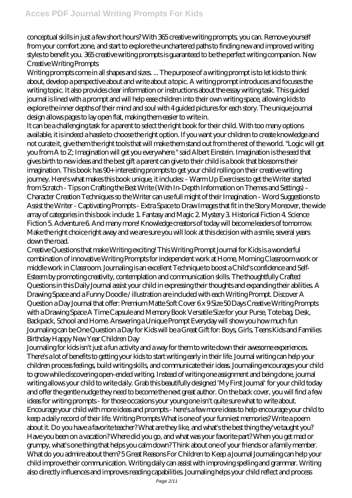conceptual skills in just a few short hours? With 365 creative writing prompts, you can. Remove yourself from your comfort zone, and start to explore the unchartered paths to finding new and improved writing styles to benefit you. 365 creative writing prompts is guaranteed to be the perfect writing companion. New Creative Writing Prompts

Writing prompts come in all shapes and sizes. ... The purpose of a writing prompt is to let kids to think about, develop a perspective about and write about a topic. A writing prompt introduces and focuses the writing topic. It also provides clear information or instructions about the essay writing task. This guided journal is lined with a prompt and will help ease children into their own writing space, allowing kids to explore the inner depths of their mind and soul with 4 guided pictures for each story. The unique journal design allows pages to lay open flat, making them easier to write in.

It can be a challenging task for a parent to select the right book for their child. With too many options available, it is indeed a hassle to choose the right option. If you want your children to create knowledge and not curate it, give them the right tools that will make them stand out from the rest of the world. "Logic will get you from A to Z; Imagination will get you everywhere." said Albert Einstein. Imagination is the seed that gives birth to new ideas and the best gift a parent can give to their child is a book that blossoms their imagination. This book has 90+ interesting prompts to get your child rolling on their creative writing journey. Here's what makes this book unique, it includes: - Warm Up Exercises to get the Writer started from Scratch - Tips on Crafting the Best Write (With In-Depth Information on Themes and Settings) - Character Creation Techniques so the Writer can use full might of their Imagination - Word Suggestions to Assist the Writer - Captivating Prompts - Extra Space to Draw Images that fit in the Story Moreover, the wide array of categories in this book include: 1. Fantasy and Magic 2. Mystery 3. Historical Fiction 4. Science Fiction 5. Adventure 6. And many more! Knowledge creators of today will become leaders of tomorrow. Make the right choice right away and we are sure you will look at this decision with a smile, several years down the road.

Creative Questions that make Writing exciting! This Writing Prompt Journal for Kids is a wonderful combination of innovative Writing Prompts for independent work at Home, Morning Classroom work or middle work in Classroom. Journaling is an excellent Technique to boost a Child's confidence and Self-Esteem by promoting creativity, contemplation and communication skills. The thoughtfully Crafted Questions in this Daily Journal assist your child in expressing their thoughts and expanding their abilities. A Drawing Space and a Funny Doodle / illustration are included with each Writing Prompt. Discover A Question a Day Journal that offer: Premium Matte Soft Cover 6 x 9 Size 50 Days Creative Writing Prompts with a Drawing Space A Time Capsule and Memory Book Versatile Size for your Purse, Tote bag, Desk, Backpack, School and Home. Answering a Unique Prompt Everyday will show you how much fun Journaling can be One Question a Day for Kids will be a Great Gift for: Boys, Girls, Teens Kids and Families Birthday Happy New Year Children Day

Journaling for kids isn't just a fun activity and a way for them to write down their awesome experiences. There's a lot of benefits to getting your kids to start writing early in their life. Journal writing can help your children process feelings, build writing skills, and communicate their ideas. Journaling encourages your child to grow while discovering open-ended writing. Instead of writing one assignment and being done, journal writing allows your child to write daily. Grab this beautifully designed 'My First Journal' for your child today and offer the gentle nudge they need to become the next great author. On the back cover, you will find a few ideas for writing prompts - for those occasions your young one isn't quite sure what to write about. Encourage your child with more ideas and prompts - here's a few more ideas to help encourage your child to keep a daily record of their life. Writing Prompts What is one of your funniest memories? Write a poem about it. Do you have a favorite teacher? What are they like, and what's the best thing they've taught you? Have you been on a vacation? Where did you go, and what was your favorite part? When you get mad or grumpy, what's one thing that helps you calm down? Think about one of your friends or a family member. What do you admire about them? 5 Great Reasons For Children to Keep a Journal Journaling can help your child improve their communication. Writing daily can assist with improving spelling and grammar. Writing also directly influences and improves reading capabilities. Journaling helps your child reflect and process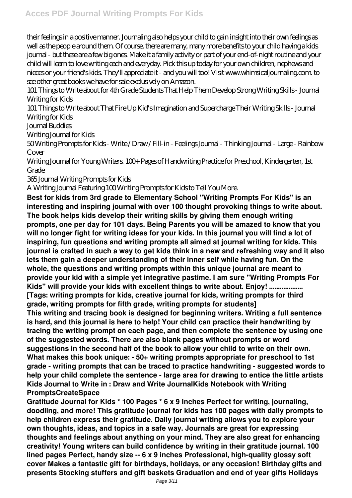their feelings in a positive manner. Journaling also helps your child to gain insight into their own feelings as well as the people around them. Of course, there are many, many more benefits to your child having a kids journal - but these are a few big ones. Make it a family activity or part of your end-of-night routine and your child will learn to love writing each and everyday. Pick this up today for your own children, nephews and nieces or your friend's kids. They'll appreciate it - and you will too! Visit www.whimsicaljournaling.com. to see other great books we have for sale exclusively on Amazon.

101 Things to Write about for 4th Grade Students That Help Them Develop Strong Writing Skills - Journal Writing for Kids

101 Things to Write about That Fire Up Kid's Imagination and Supercharge Their Writing Skills - Journal Writing for Kids

Journal Buddies

Writing Journal for Kids

50 Writing Prompts for Kids - Write / Draw / Fill-in - Feelings Journal - Thinking Journal - Large - Rainbow Cover

Writing Journal for Young Writers. 100+ Pages of Handwriting Practice for Preschool, Kindergarten, 1st Grade

365 Journal Writing Prompts for Kids

A Writing Journal Featuring 100 Writing Prompts for Kids to Tell You More.

**Best for kids from 3rd grade to Elementary School "Writing Prompts For Kids" is an interesting and inspiring journal with over 100 thought provoking things to write about. The book helps kids develop their writing skills by giving them enough writing prompts, one per day for 101 days. Being Parents you will be amazed to know that you will no longer fight for writing ideas for your kids. In this journal you will find a lot of inspiring, fun questions and writing prompts all aimed at journal writing for kids. This journal is crafted in such a way to get kids think in a new and refreshing way and it also lets them gain a deeper understanding of their inner self while having fun. On the whole, the questions and writing prompts within this unique journal are meant to provide your kid with a simple yet integrative pastime. I am sure "Writing Prompts For Kids" will provide your kids with excellent things to write about. Enjoy! ................... [Tags: writing prompts for kids, creative journal for kids, writing prompts for third grade, writing prompts for fifth grade, writing prompts for students]**

**This writing and tracing book is designed for beginning writers. Writing a full sentence is hard, and this journal is here to help! Your child can practice their handwriting by tracing the writing prompt on each page, and then complete the sentence by using one of the suggested words. There are also blank pages without prompts or word suggestions in the second half of the book to allow your child to write on their own. What makes this book unique: - 50+ writing prompts appropriate for preschool to 1st grade - writing prompts that can be traced to practice handwriting - suggested words to help your child complete the sentence - large area for drawing to entice the little artists Kids Journal to Write in : Draw and Write JournalKids Notebook with Writing PromptsCreateSpace**

**Gratitude Journal for Kids \* 100 Pages \* 6 x 9 Inches Perfect for writing, journaling, doodling, and more! This gratitude journal for kids has 100 pages with daily prompts to help children express their gratitude. Daily journal writing allows you to explore your own thoughts, ideas, and topics in a safe way. Journals are great for expressing thoughts and feelings about anything on your mind. They are also great for enhancing creativity! Young writers can build confidence by writing in their gratitude journal. 100 lined pages Perfect, handy size -- 6 x 9 inches Professional, high-quality glossy soft cover Makes a fantastic gift for birthdays, holidays, or any occasion! Birthday gifts and presents Stocking stuffers and gift baskets Graduation and end of year gifts Holidays**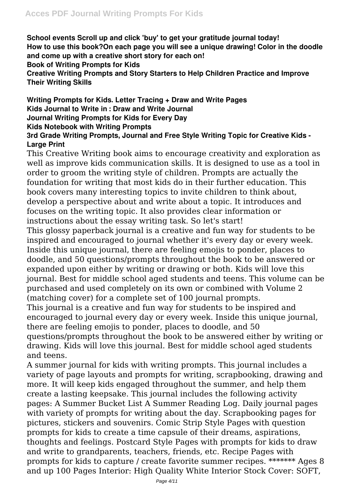**School events Scroll up and click 'buy' to get your gratitude journal today! How to use this book?On each page you will see a unique drawing! Color in the doodle and come up with a creative short story for each on! Book of Writing Prompts for Kids Creative Writing Prompts and Story Starters to Help Children Practice and Improve Their Writing Skills**

**Writing Prompts for Kids. Letter Tracing + Draw and Write Pages Kids Journal to Write in : Draw and Write Journal Journal Writing Prompts for Kids for Every Day Kids Notebook with Writing Prompts**

## **3rd Grade Writing Prompts, Journal and Free Style Writing Topic for Creative Kids - Large Print**

This Creative Writing book aims to encourage creativity and exploration as well as improve kids communication skills. It is designed to use as a tool in order to groom the writing style of children. Prompts are actually the foundation for writing that most kids do in their further education. This book covers many interesting topics to invite children to think about, develop a perspective about and write about a topic. It introduces and focuses on the writing topic. It also provides clear information or instructions about the essay writing task. So let's start!

This glossy paperback journal is a creative and fun way for students to be inspired and encouraged to journal whether it's every day or every week. Inside this unique journal, there are feeling emojis to ponder, places to doodle, and 50 questions/prompts throughout the book to be answered or expanded upon either by writing or drawing or both. Kids will love this journal. Best for middle school aged students and teens. This volume can be purchased and used completely on its own or combined with Volume 2 (matching cover) for a complete set of 100 journal prompts.

This journal is a creative and fun way for students to be inspired and encouraged to journal every day or every week. Inside this unique journal, there are feeling emojis to ponder, places to doodle, and 50 questions/prompts throughout the book to be answered either by writing or drawing. Kids will love this journal. Best for middle school aged students and teens.

A summer journal for kids with writing prompts. This journal includes a variety of page layouts and prompts for writing, scrapbooking, drawing and more. It will keep kids engaged throughout the summer, and help them create a lasting keepsake. This journal includes the following activity pages: A Summer Bucket List A Summer Reading Log. Daily journal pages with variety of prompts for writing about the day. Scrapbooking pages for pictures, stickers and souvenirs. Comic Strip Style Pages with question prompts for kids to create a time capsule of their dreams, aspirations, thoughts and feelings. Postcard Style Pages with prompts for kids to draw and write to grandparents, teachers, friends, etc. Recipe Pages with prompts for kids to capture / create favorite summer recipes. \*\*\*\*\*\*\* Ages 8 and up 100 Pages Interior: High Quality White Interior Stock Cover: SOFT,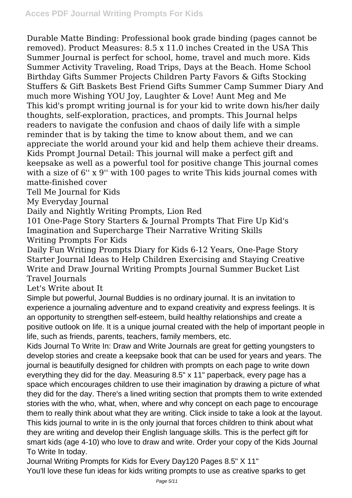Durable Matte Binding: Professional book grade binding (pages cannot be removed). Product Measures: 8.5 x 11.0 inches Created in the USA This Summer Journal is perfect for school, home, travel and much more. Kids Summer Activity Traveling, Road Trips, Days at the Beach. Home School Birthday Gifts Summer Projects Children Party Favors & Gifts Stocking Stuffers & Gift Baskets Best Friend Gifts Summer Camp Summer Diary And much more Wishing YOU Joy, Laughter & Love! Aunt Meg and Me This kid's prompt writing journal is for your kid to write down his/her daily thoughts, self-exploration, practices, and prompts. This Journal helps readers to navigate the confusion and chaos of daily life with a simple reminder that is by taking the time to know about them, and we can appreciate the world around your kid and help them achieve their dreams. Kids Prompt Journal Detail: This journal will make a perfect gift and keepsake as well as a powerful tool for positive change This journal comes with a size of 6" x 9" with 100 pages to write This kids journal comes with matte-finished cover

Tell Me Journal for Kids

My Everyday Journal

Daily and Nightly Writing Prompts, Lion Red

101 One-Page Story Starters & Journal Prompts That Fire Up Kid's Imagination and Supercharge Their Narrative Writing Skills Writing Prompts For Kids

Daily Fun Writing Prompts Diary for Kids 6-12 Years, One-Page Story Starter Journal Ideas to Help Children Exercising and Staying Creative Write and Draw Journal Writing Prompts Journal Summer Bucket List Travel Journals

Let's Write about It

Simple but powerful, Journal Buddies is no ordinary journal. It is an invitation to experience a journaling adventure and to expand creativity and express feelings. It is an opportunity to strengthen self-esteem, build healthy relationships and create a positive outlook on life. It is a unique journal created with the help of important people in life, such as friends, parents, teachers, family members, etc.

Kids Journal To Write In: Draw and Write Journals are great for getting youngsters to develop stories and create a keepsake book that can be used for years and years. The journal is beautifully designed for children with prompts on each page to write down everything they did for the day. Measuring 8.5" x 11" paperback, every page has a space which encourages children to use their imagination by drawing a picture of what they did for the day. There's a lined writing section that prompts them to write extended stories with the who, what, when, where and why concept on each page to encourage them to really think about what they are writing. Click inside to take a look at the layout. This kids journal to write in is the only journal that forces children to think about what they are writing and develop their English language skills. This is the perfect gift for smart kids (age 4-10) who love to draw and write. Order your copy of the Kids Journal To Write In today.

Journal Writing Prompts for Kids for Every Day120 Pages 8.5" X 11" You'll love these fun ideas for kids writing prompts to use as creative sparks to get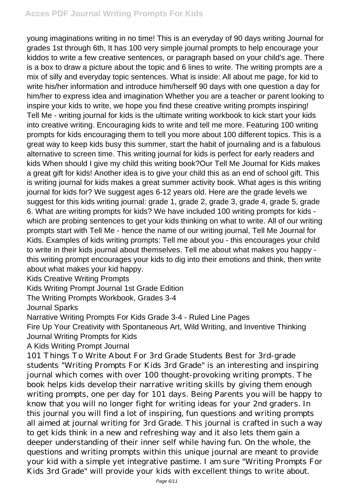## **Acces PDF Journal Writing Prompts For Kids**

young imaginations writing in no time! This is an everyday of 90 days writing Journal for grades 1st through 6th, It has 100 very simple journal prompts to help encourage your kiddos to write a few creative sentences, or paragraph based on your child's age. There is a box to draw a picture about the topic and 6 lines to write. The writing prompts are a mix of silly and everyday topic sentences. What is inside: All about me page, for kid to write his/her information and introduce him/herself 90 days with one question a day for him/her to express idea and imagination Whether you are a teacher or parent looking to inspire your kids to write, we hope you find these creative writing prompts inspiring! Tell Me - writing journal for kids is the ultimate writing workbook to kick start your kids into creative writing. Encouraging kids to write and tell me more. Featuring 100 writing prompts for kids encouraging them to tell you more about 100 different topics. This is a great way to keep kids busy this summer, start the habit of journaling and is a fabulous alternative to screen time. This writing journal for kids is perfect for early readers and kids When should I give my child this writing book?Our Tell Me Journal for Kids makes a great gift for kids! Another idea is to give your child this as an end of school gift. This is writing journal for kids makes a great summer activity book. What ages is this writing journal for kids for? We suggest ages 6-12 years old. Here are the grade levels we suggest for this kids writing journal: grade 1, grade 2, grade 3, grade 4, grade 5, grade 6. What are writing prompts for kids? We have included 100 writing prompts for kids which are probing sentences to get your kids thinking on what to write. All of our writing prompts start with Tell Me - hence the name of our writing journal, Tell Me Journal for Kids. Examples of kids writing prompts: Tell me about you - this encourages your child to write in their kids journal about themselves. Tell me about what makes you happy this writing prompt encourages your kids to dig into their emotions and think, then write about what makes your kid happy.

Kids Creative Writing Prompts

Kids Writing Prompt Journal 1st Grade Edition

The Writing Prompts Workbook, Grades 3-4

Journal Sparks

Narrative Writing Prompts For Kids Grade 3-4 - Ruled Line Pages

Fire Up Your Creativity with Spontaneous Art, Wild Writing, and Inventive Thinking Journal Writing Prompts for Kids

A Kids Writing Prompt Journal

101 Things To Write About For 3rd Grade Students Best for 3rd-grade students "Writing Prompts For Kids 3rd Grade" is an interesting and inspiring journal which comes with over 100 thought-provoking writing prompts. The book helps kids develop their narrative writing skills by giving them enough writing prompts, one per day for 101 days. Being Parents you will be happy to know that you will no longer fight for writing ideas for your 2nd graders. In this journal you will find a lot of inspiring, fun questions and writing prompts all aimed at journal writing for 3rd Grade. This journal is crafted in such a way to get kids think in a new and refreshing way and it also lets them gain a deeper understanding of their inner self while having fun. On the whole, the questions and writing prompts within this unique journal are meant to provide your kid with a simple yet integrative pastime. I am sure "Writing Prompts For Kids 3rd Grade" will provide your kids with excellent things to write about.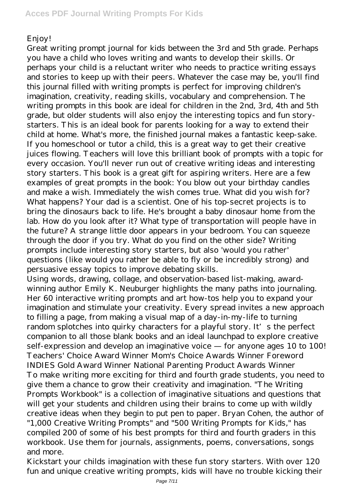## Enjoy!

Great writing prompt journal for kids between the 3rd and 5th grade. Perhaps you have a child who loves writing and wants to develop their skills. Or perhaps your child is a reluctant writer who needs to practice writing essays and stories to keep up with their peers. Whatever the case may be, you'll find this journal filled with writing prompts is perfect for improving children's imagination, creativity, reading skills, vocabulary and comprehension. The writing prompts in this book are ideal for children in the 2nd, 3rd, 4th and 5th grade, but older students will also enjoy the interesting topics and fun storystarters. This is an ideal book for parents looking for a way to extend their child at home. What's more, the finished journal makes a fantastic keep-sake. If you homeschool or tutor a child, this is a great way to get their creative juices flowing. Teachers will love this brilliant book of prompts with a topic for every occasion. You'll never run out of creative writing ideas and interesting story starters. This book is a great gift for aspiring writers. Here are a few examples of great prompts in the book: You blow out your birthday candles and make a wish. Immediately the wish comes true. What did you wish for? What happens? Your dad is a scientist. One of his top-secret projects is to bring the dinosaurs back to life. He's brought a baby dinosaur home from the lab. How do you look after it? What type of transportation will people have in the future? A strange little door appears in your bedroom. You can squeeze through the door if you try. What do you find on the other side? Writing prompts include interesting story starters, but also 'would you rather' questions (like would you rather be able to fly or be incredibly strong) and persuasive essay topics to improve debating skills.

Using words, drawing, collage, and observation-based list-making, awardwinning author Emily K. Neuburger highlights the many paths into journaling. Her 60 interactive writing prompts and art how-tos help you to expand your imagination and stimulate your creativity. Every spread invites a new approach to filling a page, from making a visual map of a day-in-my-life to turning random splotches into quirky characters for a playful story. It's the perfect companion to all those blank books and an ideal launchpad to explore creative self-expression and develop an imaginative voice — for anyone ages 10 to 100! Teachers' Choice Award Winner Mom's Choice Awards Winner Foreword INDIES Gold Award Winner National Parenting Product Awards Winner To make writing more exciting for third and fourth grade students, you need to give them a chance to grow their creativity and imagination. "The Writing Prompts Workbook" is a collection of imaginative situations and questions that will get your students and children using their brains to come up with wildly creative ideas when they begin to put pen to paper. Bryan Cohen, the author of "1,000 Creative Writing Prompts" and "500 Writing Prompts for Kids," has compiled 200 of some of his best prompts for third and fourth graders in this workbook. Use them for journals, assignments, poems, conversations, songs and more.

Kickstart your childs imagination with these fun story starters. With over 120 fun and unique creative writing prompts, kids will have no trouble kicking their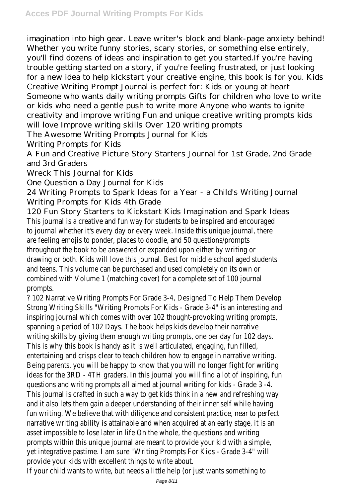imagination into high gear. Leave writer's block and blank-page anxiety behind! Whether you write funny stories, scary stories, or something else entirely, you'll find dozens of ideas and inspiration to get you started.If you're having trouble getting started on a story, if you're feeling frustrated, or just looking for a new idea to help kickstart your creative engine, this book is for you. Kids Creative Writing Prompt Journal is perfect for: Kids or young at heart Someone who wants daily writing prompts Gifts for children who love to write or kids who need a gentle push to write more Anyone who wants to ignite creativity and improve writing Fun and unique creative writing prompts kids will love Improve writing skills Over 120 writing prompts

The Awesome Writing Prompts Journal for Kids

Writing Prompts for Kids

A Fun and Creative Picture Story Starters Journal for 1st Grade, 2nd Grade and 3rd Graders

Wreck This Journal for Kids

One Question a Day Journal for Kids

24 Writing Prompts to Spark Ideas for a Year - a Child's Writing Journal Writing Prompts for Kids 4th Grade

120 Fun Story Starters to Kickstart Kids Imagination and Spark Ideas This journal is a creative and fun way for students to be inspired and encouraged to journal whether it's every day or every week. Inside this unique journal, there are feeling emojis to ponder, places to doodle, and 50 questions/prompts throughout the book to be answered or expanded upon either by writing or drawing or both. Kids will love this journal. Best for middle school aged students and teens. This volume can be purchased and used completely on its own or combined with Volume 1 (matching cover) for a complete set of 100 journal prompts.

? 102 Narrative Writing Prompts For Grade 3-4, Designed To Help Them Develop Strong Writing Skills "Writing Prompts For Kids - Grade 3-4" is an interesting and inspiring journal which comes with over 102 thought-provoking writing prompts, spanning a period of 102 Days. The book helps kids develop their narrative writing skills by giving them enough writing prompts, one per day for 102 days. This is why this book is handy as it is well articulated, engaging, fun filled, entertaining and crisps clear to teach children how to engage in narrative writing. Being parents, you will be happy to know that you will no longer fight for writing ideas for the 3RD - 4TH graders. In this journal you will find a lot of inspiring, fun questions and writing prompts all aimed at journal writing for kids - Grade 3 -4. This journal is crafted in such a way to get kids think in a new and refreshing way and it also lets them gain a deeper understanding of their inner self while having fun writing. We believe that with diligence and consistent practice, near to perfect narrative writing ability is attainable and when acquired at an early stage, it is an asset impossible to lose later in life On the whole, the questions and writing prompts within this unique journal are meant to provide your kid with a simple, yet integrative pastime. I am sure "Writing Prompts For Kids - Grade 3-4" will provide your kids with excellent things to write about.

If your child wants to write, but needs a little help (or just wants something to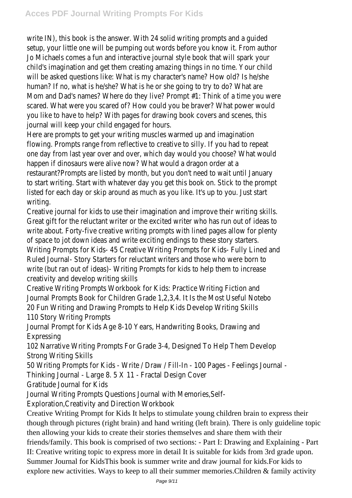write IN), this book is the answer. With 24 solid writing prompts and a guided setup, your little one will be pumping out words before you know it. From author Jo Michaels comes a fun and interactive journal style book that will spark your child's imagination and get them creating amazing things in no time. Your child will be asked questions like: What is my character's name? How old? Is he/she human? If no, what is he/she? What is he or she going to try to do? What are Mom and Dad's names? Where do they live? Prompt #1: Think of a time you were scared. What were you scared of? How could you be braver? What power would you like to have to help? With pages for drawing book covers and scenes, this journal will keep your child engaged for hours.

Here are prompts to get your writing muscles warmed up and imagination flowing. Prompts range from reflective to creative to silly. If you had to repeat one day from last year over and over, which day would you choose? What would happen if dinosaurs were alive now? What would a dragon order at a restaurant?Prompts are listed by month, but you don't need to wait until January to start writing. Start with whatever day you get this book on. Stick to the prompt listed for each day or skip around as much as you like. It's up to you. Just start writing.

Creative journal for kids to use their imagination and improve their writing skills. Great gift for the reluctant writer or the excited writer who has run out of ideas to write about. Forty-five creative writing prompts with lined pages allow for plenty of space to jot down ideas and write exciting endings to these story starters. Writing Prompts for Kids- 45 Creative Writing Prompts for Kids- Fully Lined and Ruled Journal- Story Starters for reluctant writers and those who were born to write (but ran out of ideas)- Writing Prompts for kids to help them to increase creativity and develop writing skills

Creative Writing Prompts Workbook for Kids: Practice Writing Fiction and Journal Prompts Book for Children Grade 1,2,3,4. It Is the Most Useful Notebo 20 Fun Writing and Drawing Prompts to Help Kids Develop Writing Skills 110 Story Writing Prompts

Journal Prompt for Kids Age 8-10 Years, Handwriting Books, Drawing and Expressing

102 Narrative Writing Prompts For Grade 3-4, Designed To Help Them Develop Strong Writing Skills

50 Writing Prompts for Kids - Write / Draw / Fill-In - 100 Pages - Feelings Journal -

Thinking Journal - Large 8. 5 X 11 - Fractal Design Cover

Gratitude Journal for Kids

Journal Writing Prompts Questions Journal with Memories,Self-

Exploration,Creativity and Direction Workbook

Creative Writing Prompt for Kids It helps to stimulate young children brain to express their though through pictures (right brain) and hand writing (left brain). There is only guideline topic then allowing your kids to create their stories themselves and share them with their friends/family. This book is comprised of two sections: - Part I: Drawing and Explaining - Part II: Creative writing topic to express more in detail It is suitable for kids from 3rd grade upon.

Summer Journal for KidsThis book is summer write and draw journal for kids.For kids to explore new activities. Ways to keep to all their summer memories.Children & family activity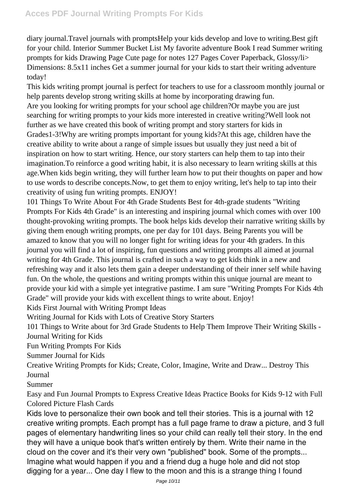diary journal.Travel journals with promptsHelp your kids develop and love to writing.Best gift for your child. Interior Summer Bucket List My favorite adventure Book I read Summer writing prompts for kids Drawing Page Cute page for notes 127 Pages Cover Paperback, Glossy/li> Dimensions: 8.5x11 inches Get a summer journal for your kids to start their writing adventure today!

This kids writing prompt journal is perfect for teachers to use for a classroom monthly journal or help parents develop strong writing skills at home by incorporating drawing fun. Are you looking for writing prompts for your school age children?Or maybe you are just searching for writing prompts to your kids more interested in creative writing?Well look not further as we have created this book of writing prompt and story starters for kids in Grades1-3!Why are writing prompts important for young kids?At this age, children have the creative ability to write about a range of simple issues but usually they just need a bit of inspiration on how to start writing. Hence, our story starters can help them to tap into their imagination.To reinforce a good writing habit, it is also necessary to learn writing skills at this age.When kids begin writing, they will further learn how to put their thoughts on paper and how to use words to describe concepts.Now, to get them to enjoy writing, let's help to tap into their creativity of using fun writing prompts. ENJOY!

101 Things To Write About For 4th Grade Students Best for 4th-grade students "Writing Prompts For Kids 4th Grade" is an interesting and inspiring journal which comes with over 100 thought-provoking writing prompts. The book helps kids develop their narrative writing skills by giving them enough writing prompts, one per day for 101 days. Being Parents you will be amazed to know that you will no longer fight for writing ideas for your 4th graders. In this journal you will find a lot of inspiring, fun questions and writing prompts all aimed at journal writing for 4th Grade. This journal is crafted in such a way to get kids think in a new and refreshing way and it also lets them gain a deeper understanding of their inner self while having fun. On the whole, the questions and writing prompts within this unique journal are meant to provide your kid with a simple yet integrative pastime. I am sure "Writing Prompts For Kids 4th Grade" will provide your kids with excellent things to write about. Enjoy!

Kids First Journal with Writing Prompt Ideas

Writing Journal for Kids with Lots of Creative Story Starters

101 Things to Write about for 3rd Grade Students to Help Them Improve Their Writing Skills - Journal Writing for Kids

Fun Writing Prompts For Kids

Summer Journal for Kids

Creative Writing Prompts for Kids; Create, Color, Imagine, Write and Draw... Destroy This Journal

Summer

Easy and Fun Journal Prompts to Express Creative Ideas Practice Books for Kids 9-12 with Full Colored Picture Flash Cards

Kids love to personalize their own book and tell their stories. This is a journal with 12 creative writing prompts. Each prompt has a full page frame to draw a picture, and 3 full pages of elementary handwriting lines so your child can really tell their story. In the end they will have a unique book that's written entirely by them. Write their name in the cloud on the cover and it's their very own "published" book. Some of the prompts... Imagine what would happen if you and a friend dug a huge hole and did not stop digging for a year... One day I flew to the moon and this is a strange thing I found